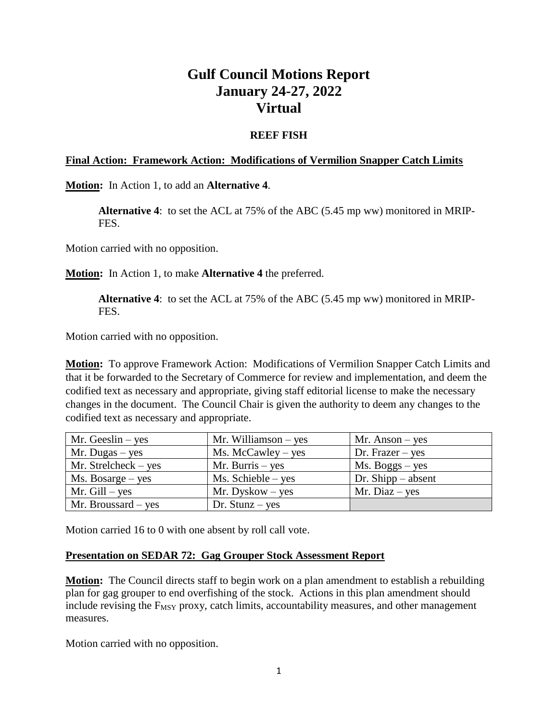# **Gulf Council Motions Report January 24-27, 2022 Virtual**

## **REEF FISH**

#### **Final Action: Framework Action: Modifications of Vermilion Snapper Catch Limits**

**Motion:** In Action 1, to add an **Alternative 4**.

**Alternative 4**: to set the ACL at 75% of the ABC (5.45 mp ww) monitored in MRIP-FES.

Motion carried with no opposition.

**Motion:** In Action 1, to make **Alternative 4** the preferred.

**Alternative 4**: to set the ACL at 75% of the ABC (5.45 mp ww) monitored in MRIP-FES.

Motion carried with no opposition.

**Motion:** To approve Framework Action: Modifications of Vermilion Snapper Catch Limits and that it be forwarded to the Secretary of Commerce for review and implementation, and deem the codified text as necessary and appropriate, giving staff editorial license to make the necessary changes in the document. The Council Chair is given the authority to deem any changes to the codified text as necessary and appropriate.

| Mr. Geeslin $-$ yes                  | Mr. Williamson $-$ yes | $Mr.$ Anson – yes    |
|--------------------------------------|------------------------|----------------------|
| Mr. Dugas $-$ yes                    | $Ms.$ McCawley – yes   | Dr. Frazer $-$ yes   |
| $Mr. Strelcheck - yes$               | Mr. Burris $-$ yes     | $Ms. Boggs - yes$    |
| $Ms. \, \text{Bosarge} - \text{yes}$ | $Ms. Schieble - yes$   | Dr. Shipp $-$ absent |
| $Mr.$ Gill – yes                     | $Mr. Dyskow - yes$     | Mr. Diaz $-$ yes     |
| Mr. Broussard – yes                  | $Dr. Stunz - yes$      |                      |

Motion carried 16 to 0 with one absent by roll call vote.

#### **Presentation on SEDAR 72: Gag Grouper Stock Assessment Report**

**Motion:** The Council directs staff to begin work on a plan amendment to establish a rebuilding plan for gag grouper to end overfishing of the stock. Actions in this plan amendment should include revising the  $F_{MSY}$  proxy, catch limits, accountability measures, and other management measures.

Motion carried with no opposition.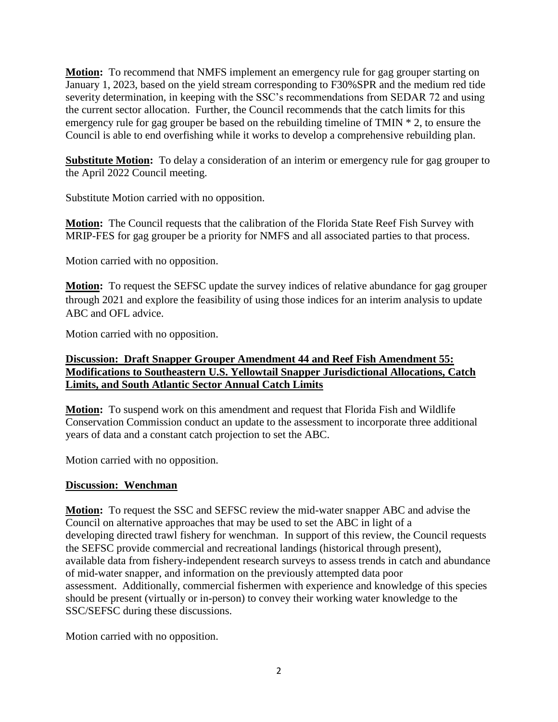**Motion:** To recommend that NMFS implement an emergency rule for gag grouper starting on January 1, 2023, based on the yield stream corresponding to F30%SPR and the medium red tide severity determination, in keeping with the SSC's recommendations from SEDAR 72 and using the current sector allocation. Further, the Council recommends that the catch limits for this emergency rule for gag grouper be based on the rebuilding timeline of TMIN \* 2, to ensure the Council is able to end overfishing while it works to develop a comprehensive rebuilding plan.

**Substitute Motion:** To delay a consideration of an interim or emergency rule for gag grouper to the April 2022 Council meeting.

Substitute Motion carried with no opposition.

**Motion:** The Council requests that the calibration of the Florida State Reef Fish Survey with MRIP-FES for gag grouper be a priority for NMFS and all associated parties to that process.

Motion carried with no opposition.

**Motion:** To request the SEFSC update the survey indices of relative abundance for gag grouper through 2021 and explore the feasibility of using those indices for an interim analysis to update ABC and OFL advice.

Motion carried with no opposition.

## **Discussion: Draft Snapper Grouper Amendment 44 and Reef Fish Amendment 55: Modifications to Southeastern U.S. Yellowtail Snapper Jurisdictional Allocations, Catch Limits, and South Atlantic Sector Annual Catch Limits**

**Motion:** To suspend work on this amendment and request that Florida Fish and Wildlife Conservation Commission conduct an update to the assessment to incorporate three additional years of data and a constant catch projection to set the ABC.

Motion carried with no opposition.

## **Discussion: Wenchman**

**Motion:** To request the SSC and SEFSC review the mid-water snapper ABC and advise the Council on alternative approaches that may be used to set the ABC in light of a developing directed trawl fishery for wenchman. In support of this review, the Council requests the SEFSC provide commercial and recreational landings (historical through present), available data from fishery-independent research surveys to assess trends in catch and abundance of mid-water snapper, and information on the previously attempted data poor assessment. Additionally, commercial fishermen with experience and knowledge of this species should be present (virtually or in-person) to convey their working water knowledge to the SSC/SEFSC during these discussions.

Motion carried with no opposition.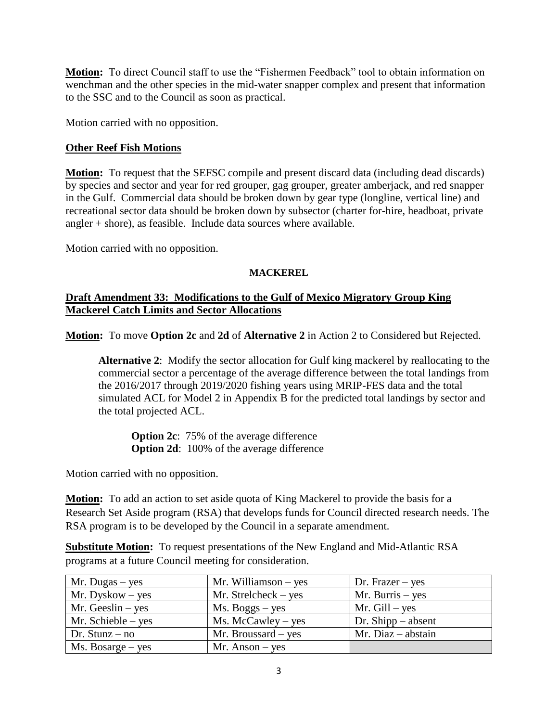**Motion:** To direct Council staff to use the "Fishermen Feedback" tool to obtain information on wenchman and the other species in the mid-water snapper complex and present that information to the SSC and to the Council as soon as practical.

Motion carried with no opposition.

## **Other Reef Fish Motions**

**Motion:** To request that the SEFSC compile and present discard data (including dead discards) by species and sector and year for red grouper, gag grouper, greater amberjack, and red snapper in the Gulf. Commercial data should be broken down by gear type (longline, vertical line) and recreational sector data should be broken down by subsector (charter for-hire, headboat, private angler + shore), as feasible. Include data sources where available.

Motion carried with no opposition.

#### **MACKEREL**

## **Draft Amendment 33: Modifications to the Gulf of Mexico Migratory Group King Mackerel Catch Limits and Sector Allocations**

**Motion:** To move **Option 2c** and **2d** of **Alternative 2** in Action 2 to Considered but Rejected.

**Alternative 2**: Modify the sector allocation for Gulf king mackerel by reallocating to the commercial sector a percentage of the average difference between the total landings from the 2016/2017 through 2019/2020 fishing years using MRIP-FES data and the total simulated ACL for Model 2 in Appendix B for the predicted total landings by sector and the total projected ACL.

**Option 2c**: 75% of the average difference **Option 2d**: 100% of the average difference

Motion carried with no opposition.

**Motion:** To add an action to set aside quota of King Mackerel to provide the basis for a Research Set Aside program (RSA) that develops funds for Council directed research needs. The RSA program is to be developed by the Council in a separate amendment.

**Substitute Motion:** To request presentations of the New England and Mid-Atlantic RSA programs at a future Council meeting for consideration.

| Mr. Dugas – yes                      | Mr. Williamson $-$ yes | Dr. Frazer $-$ yes   |
|--------------------------------------|------------------------|----------------------|
| $Mr. Dyskow - yes$                   | Mr. Strelcheck $-$ yes | Mr. Burris $-$ yes   |
| Mr. Geeslin $-$ yes                  | $Ms. Boggs - yes$      | Mr. $Gill - yes$     |
| Mr. Schieble $-$ yes                 | $Ms.$ McCawley – yes   | Dr. Shipp $-$ absent |
| Dr. Stunz $-$ no                     | Mr. Broussard $-$ yes  | $Mr. Diaz - abstain$ |
| $Ms. \, \text{Bosarge} - \text{yes}$ | $Mr.$ Anson – yes      |                      |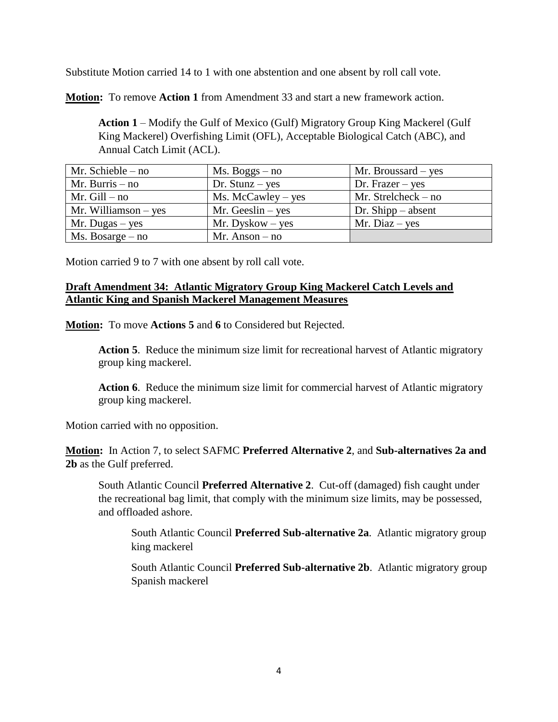Substitute Motion carried 14 to 1 with one abstention and one absent by roll call vote.

**Motion:** To remove **Action 1** from Amendment 33 and start a new framework action.

**Action 1** – Modify the Gulf of Mexico (Gulf) Migratory Group King Mackerel (Gulf King Mackerel) Overfishing Limit (OFL), Acceptable Biological Catch (ABC), and Annual Catch Limit (ACL).

| Mr. Schieble $-$ no          | $Ms. Boggs - no$     | $Mr.$ Broussard – yes |
|------------------------------|----------------------|-----------------------|
| Mr. Burris $-$ no            | Dr. Stunz $-$ yes    | Dr. Frazer $-$ yes    |
| Mr. $Gill - no$              | $Ms.$ McCawley – yes | Mr. Strelcheck $-$ no |
| Mr. Williamson $-$ yes       | Mr. Geeslin $-$ yes  | Dr. Shipp $-$ absent  |
| Mr. Dugas – yes              | $Mr. Dyskow - yes$   | Mr. Diaz $-$ yes      |
| $Ms. \, \text{Bosarge} - no$ | $Mr. Anson - no$     |                       |

Motion carried 9 to 7 with one absent by roll call vote.

#### **Draft Amendment 34: Atlantic Migratory Group King Mackerel Catch Levels and Atlantic King and Spanish Mackerel Management Measures**

**Motion:** To move **Actions 5** and **6** to Considered but Rejected.

**Action 5**. Reduce the minimum size limit for recreational harvest of Atlantic migratory group king mackerel.

**Action 6**. Reduce the minimum size limit for commercial harvest of Atlantic migratory group king mackerel.

Motion carried with no opposition.

**Motion:** In Action 7, to select SAFMC **Preferred Alternative 2**, and **Sub-alternatives 2a and 2b** as the Gulf preferred.

South Atlantic Council **Preferred Alternative 2**. Cut-off (damaged) fish caught under the recreational bag limit, that comply with the minimum size limits, may be possessed, and offloaded ashore.

South Atlantic Council **Preferred Sub-alternative 2a**. Atlantic migratory group king mackerel

South Atlantic Council **Preferred Sub-alternative 2b**. Atlantic migratory group Spanish mackerel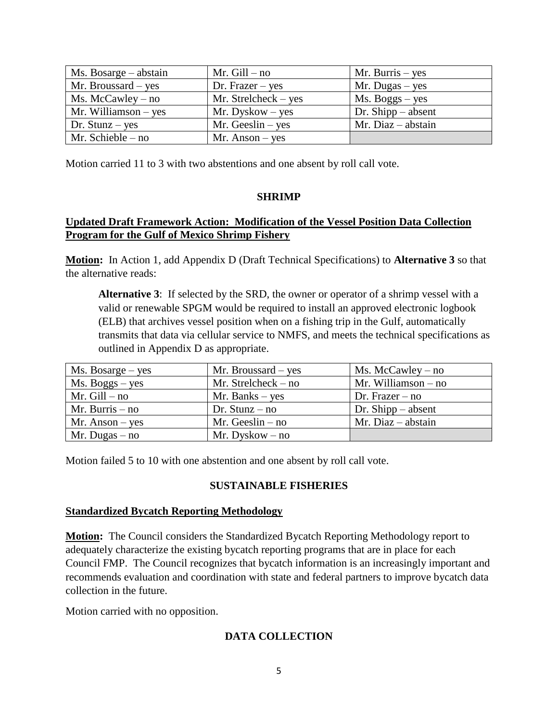| Ms. Bosarge – abstain  | Mr. $Gill - no$        | Mr. Burris $-$ yes   |
|------------------------|------------------------|----------------------|
| Mr. Broussard – yes    | Dr. Frazer $-$ yes     | $Mr. Dugas - yes$    |
| $Ms.$ McCawley – no    | $Mr. Strelcheck - yes$ | $Ms. Boggs - yes$    |
| Mr. Williamson $-$ yes | $Mr. Dyskow - yes$     | Dr. Shipp $-$ absent |
| Dr. Stunz $-$ yes      | Mr. Geeslin $-$ yes    | $Mr. Diaz - abstain$ |
| Mr. Schieble $-$ no    | $Mr.$ Anson – yes      |                      |

Motion carried 11 to 3 with two abstentions and one absent by roll call vote.

#### **SHRIMP**

## **Updated Draft Framework Action: Modification of the Vessel Position Data Collection Program for the Gulf of Mexico Shrimp Fishery**

**Motion:** In Action 1, add Appendix D (Draft Technical Specifications) to **Alternative 3** so that the alternative reads:

**Alternative 3**: If selected by the SRD, the owner or operator of a shrimp vessel with a valid or renewable SPGM would be required to install an approved electronic logbook (ELB) that archives vessel position when on a fishing trip in the Gulf, automatically transmits that data via cellular service to NMFS, and meets the technical specifications as outlined in Appendix D as appropriate.

| $Ms. \, \text{Bosarge} - \text{yes}$ | Mr. Broussard $-$ yes | $Ms.$ McCawley – no   |
|--------------------------------------|-----------------------|-----------------------|
| $Ms. Boggs - yes$                    | Mr. Strelcheck $-$ no | Mr. Williamson $-$ no |
| Mr. $Gill - no$                      | Mr. Banks $-$ yes     | Dr. Frazer $-$ no     |
| Mr. Burris $-$ no                    | Dr. Stunz $-$ no      | Dr. Shipp $-$ absent  |
| $Mr.$ Anson – yes                    | Mr. Geeslin $-$ no    | Mr. Diaz $-$ abstain  |
| Mr. Dugas – no                       | $Mr. Dyskow - no$     |                       |

Motion failed 5 to 10 with one abstention and one absent by roll call vote.

## **SUSTAINABLE FISHERIES**

#### **Standardized Bycatch Reporting Methodology**

**Motion:** The Council considers the Standardized Bycatch Reporting Methodology report to adequately characterize the existing bycatch reporting programs that are in place for each Council FMP. The Council recognizes that bycatch information is an increasingly important and recommends evaluation and coordination with state and federal partners to improve bycatch data collection in the future.

Motion carried with no opposition.

# **DATA COLLECTION**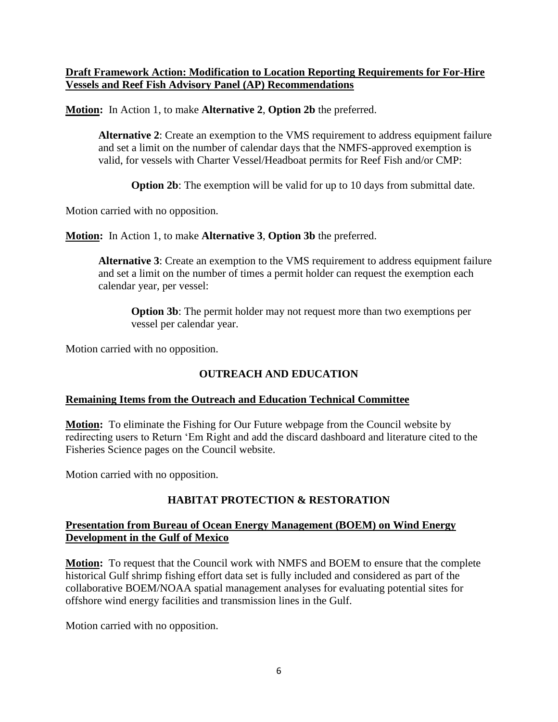## **Draft Framework Action: Modification to Location Reporting Requirements for For-Hire Vessels and Reef Fish Advisory Panel (AP) Recommendations**

**Motion:** In Action 1, to make **Alternative 2**, **Option 2b** the preferred.

**Alternative 2**: Create an exemption to the VMS requirement to address equipment failure and set a limit on the number of calendar days that the NMFS-approved exemption is valid, for vessels with Charter Vessel/Headboat permits for Reef Fish and/or CMP:

**Option 2b**: The exemption will be valid for up to 10 days from submittal date.

Motion carried with no opposition.

**Motion:** In Action 1, to make **Alternative 3**, **Option 3b** the preferred.

**Alternative 3**: Create an exemption to the VMS requirement to address equipment failure and set a limit on the number of times a permit holder can request the exemption each calendar year, per vessel:

**Option 3b**: The permit holder may not request more than two exemptions per vessel per calendar year.

Motion carried with no opposition.

# **OUTREACH AND EDUCATION**

## **Remaining Items from the Outreach and Education Technical Committee**

**Motion:** To eliminate the Fishing for Our Future webpage from the Council website by redirecting users to Return 'Em Right and add the discard dashboard and literature cited to the Fisheries Science pages on the Council website.

Motion carried with no opposition.

## **HABITAT PROTECTION & RESTORATION**

## **Presentation from Bureau of Ocean Energy Management (BOEM) on Wind Energy Development in the Gulf of Mexico**

**Motion:** To request that the Council work with NMFS and BOEM to ensure that the complete historical Gulf shrimp fishing effort data set is fully included and considered as part of the collaborative BOEM/NOAA spatial management analyses for evaluating potential sites for offshore wind energy facilities and transmission lines in the Gulf.

Motion carried with no opposition.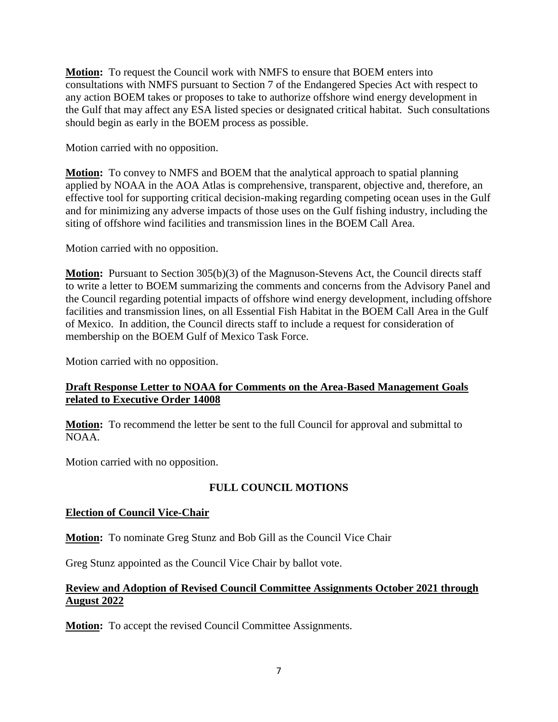**Motion:** To request the Council work with NMFS to ensure that BOEM enters into consultations with NMFS pursuant to Section 7 of the Endangered Species Act with respect to any action BOEM takes or proposes to take to authorize offshore wind energy development in the Gulf that may affect any ESA listed species or designated critical habitat. Such consultations should begin as early in the BOEM process as possible.

Motion carried with no opposition.

**Motion:** To convey to NMFS and BOEM that the analytical approach to spatial planning applied by NOAA in the AOA Atlas is comprehensive, transparent, objective and, therefore, an effective tool for supporting critical decision-making regarding competing ocean uses in the Gulf and for minimizing any adverse impacts of those uses on the Gulf fishing industry, including the siting of offshore wind facilities and transmission lines in the BOEM Call Area.

Motion carried with no opposition.

**Motion:** Pursuant to Section 305(b)(3) of the Magnuson-Stevens Act, the Council directs staff to write a letter to BOEM summarizing the comments and concerns from the Advisory Panel and the Council regarding potential impacts of offshore wind energy development, including offshore facilities and transmission lines, on all Essential Fish Habitat in the BOEM Call Area in the Gulf of Mexico. In addition, the Council directs staff to include a request for consideration of membership on the BOEM Gulf of Mexico Task Force.

Motion carried with no opposition.

#### **Draft Response Letter to NOAA for Comments on the Area-Based Management Goals related to Executive Order 14008**

**Motion:** To recommend the letter be sent to the full Council for approval and submittal to NOAA.

Motion carried with no opposition.

## **FULL COUNCIL MOTIONS**

#### **Election of Council Vice-Chair**

**Motion:** To nominate Greg Stunz and Bob Gill as the Council Vice Chair

Greg Stunz appointed as the Council Vice Chair by ballot vote.

# **Review and Adoption of Revised Council Committee Assignments October 2021 through August 2022**

**Motion:** To accept the revised Council Committee Assignments.